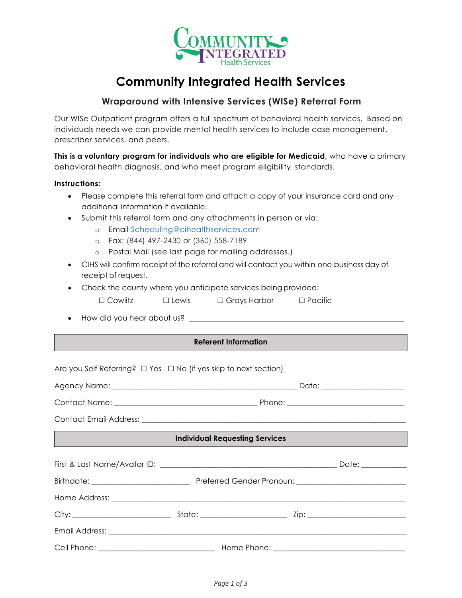

# **Community Integrated Health Services**

## **Wraparound with Intensive Services (WISe) Referral Form**

Our WISe Outpatient program offers a full spectrum of behavioral health services. Based on individuals needs we can provide mental health services to include case management, prescriber services, and peers.

**This is a voluntary program for individuals who are eligible for Medicaid,** who have a primary behavioral health diagnosis, and who meet program eligibility standards.

### **Instructions:**

- Please complete this referral form and attach a copy of your insurance card and any additional information if available.
- Submit this referral form and any attachments in person or via:
	- o Email [Scheduling@cihealthservices.com](mailto:Scheduling@cihealthservices.com)
	- o Fax: (844) 497-2430 or (360) 558-7189
	- o Postal Mail (see last page for mailing addresses.)
- CIHS will confirm receipt of the referral and will contact you within one business day of receipt of request.
- Check the county where you anticipate services being provided:
	- ☐ Cowlitz ☐ Lewis ☐ Grays Harbor ☐ Pacific
- How did you hear about us? \_\_\_\_\_\_\_\_\_\_\_\_\_\_\_\_\_\_\_\_\_\_\_\_\_\_\_\_\_\_\_\_\_\_\_\_\_\_\_\_\_\_\_\_\_\_\_\_\_\_\_\_\_\_\_\_\_

#### **Referent Information**

Are you Self Referring? □ Yes □ No (if yes skip to next section) Agency Name: \_\_\_\_\_\_\_\_\_\_\_\_\_\_\_\_\_\_\_\_\_\_\_\_\_\_\_\_\_\_\_\_\_\_\_\_\_\_\_\_\_\_\_\_\_\_\_\_\_ Date: \_\_\_\_\_\_\_\_\_\_\_\_\_\_\_\_\_\_\_\_\_\_ Contact Name: \_\_\_\_\_\_\_\_\_\_\_\_\_\_\_\_\_\_\_\_\_\_\_\_\_\_\_\_\_\_\_\_\_\_\_\_\_\_ Phone: \_\_\_\_\_\_\_\_\_\_\_\_\_\_\_\_\_\_\_\_\_\_\_\_\_\_\_\_\_\_\_ Contact Email Address: **Individual Requesting Services** First & Last Name/Avatar ID: \_\_\_\_\_\_\_\_\_\_\_\_\_\_\_\_\_\_\_\_\_\_\_\_\_\_\_\_\_\_\_\_\_\_\_\_\_\_\_\_\_\_\_\_\_\_\_ Date: \_\_\_\_\_\_\_\_\_\_\_\_ Birthdate: \_\_\_\_\_\_\_\_\_\_\_\_\_\_\_\_\_\_\_\_\_\_\_\_\_\_ Preferred Gender Pronoun: \_\_\_\_\_\_\_\_\_\_\_\_\_\_\_\_\_\_\_\_\_\_\_\_\_\_\_\_\_ Home Address: \_\_\_\_\_\_\_\_\_\_\_\_\_\_\_\_\_\_\_\_\_\_\_\_\_\_\_\_\_\_\_\_\_\_\_\_\_\_\_\_\_\_\_\_\_\_\_\_\_\_\_\_\_\_\_\_\_\_\_\_\_\_\_\_\_\_\_\_\_\_\_\_\_\_\_\_\_\_ City: \_\_\_\_\_\_\_\_\_\_\_\_\_\_\_\_\_\_\_\_\_\_\_\_\_\_ State: \_\_\_\_\_\_\_\_\_\_\_\_\_\_\_\_\_\_\_\_\_\_\_ Zip: \_\_\_\_\_\_\_\_\_\_\_\_\_\_\_\_\_\_\_\_\_\_\_\_\_\_ Email Address: \_\_\_\_\_\_\_\_\_\_\_\_\_\_\_\_\_\_\_\_\_\_\_\_\_\_\_\_\_\_\_\_\_\_\_\_\_\_\_\_\_\_\_\_\_\_\_\_\_\_\_\_\_\_\_\_\_\_\_\_\_\_\_\_\_\_\_\_\_\_\_\_\_\_\_\_\_\_\_ Cell Phone: \_\_\_\_\_\_\_\_\_\_\_\_\_\_\_\_\_\_\_\_\_\_\_\_\_\_\_\_\_\_\_ Home Phone: \_\_\_\_\_\_\_\_\_\_\_\_\_\_\_\_\_\_\_\_\_\_\_\_\_\_\_\_\_\_\_\_\_\_\_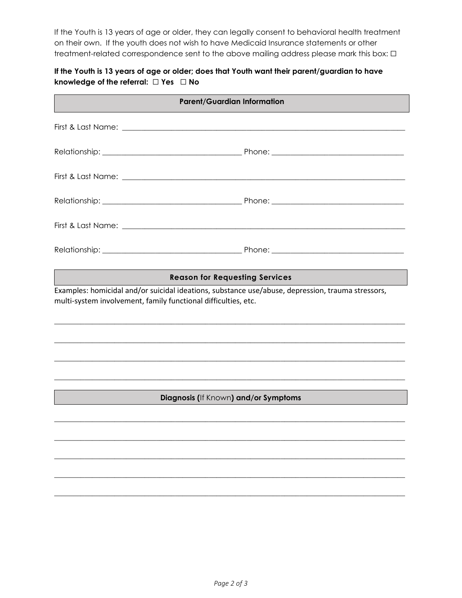If the Youth is 13 years of age or older, they can legally consent to behavioral health treatment on their own. If the youth does not wish to have Medicaid Insurance statements or other treatment-related correspondence sent to the above mailing address please mark this box:  $\Box$ 

## **If the Youth is 13 years of age or older; does that Youth want their parent/guardian to have knowledge of the referral:** ☐ **Yes** ☐ **No**

| <b>Parent/Guardian Information</b>                                                                                                                                  |  |
|---------------------------------------------------------------------------------------------------------------------------------------------------------------------|--|
|                                                                                                                                                                     |  |
|                                                                                                                                                                     |  |
|                                                                                                                                                                     |  |
|                                                                                                                                                                     |  |
|                                                                                                                                                                     |  |
|                                                                                                                                                                     |  |
| <b>Reason for Requesting Services</b>                                                                                                                               |  |
| Examples: homicidal and/or suicidal ideations, substance use/abuse, depression, trauma stressors,<br>multi-system involvement, family functional difficulties, etc. |  |
|                                                                                                                                                                     |  |
|                                                                                                                                                                     |  |
|                                                                                                                                                                     |  |
| Diagnosis (If Known) and/or Symptoms                                                                                                                                |  |
|                                                                                                                                                                     |  |
|                                                                                                                                                                     |  |
|                                                                                                                                                                     |  |

 $\mathcal{L}_\mathcal{L} = \{ \mathcal{L}_\mathcal{L} = \{ \mathcal{L}_\mathcal{L} = \{ \mathcal{L}_\mathcal{L} = \{ \mathcal{L}_\mathcal{L} = \{ \mathcal{L}_\mathcal{L} = \{ \mathcal{L}_\mathcal{L} = \{ \mathcal{L}_\mathcal{L} = \{ \mathcal{L}_\mathcal{L} = \{ \mathcal{L}_\mathcal{L} = \{ \mathcal{L}_\mathcal{L} = \{ \mathcal{L}_\mathcal{L} = \{ \mathcal{L}_\mathcal{L} = \{ \mathcal{L}_\mathcal{L} = \{ \mathcal{L}_\mathcal{$ 

 $\mathcal{L}_\mathcal{L} = \{ \mathcal{L}_\mathcal{L} = \{ \mathcal{L}_\mathcal{L} = \{ \mathcal{L}_\mathcal{L} = \{ \mathcal{L}_\mathcal{L} = \{ \mathcal{L}_\mathcal{L} = \{ \mathcal{L}_\mathcal{L} = \{ \mathcal{L}_\mathcal{L} = \{ \mathcal{L}_\mathcal{L} = \{ \mathcal{L}_\mathcal{L} = \{ \mathcal{L}_\mathcal{L} = \{ \mathcal{L}_\mathcal{L} = \{ \mathcal{L}_\mathcal{L} = \{ \mathcal{L}_\mathcal{L} = \{ \mathcal{L}_\mathcal{$